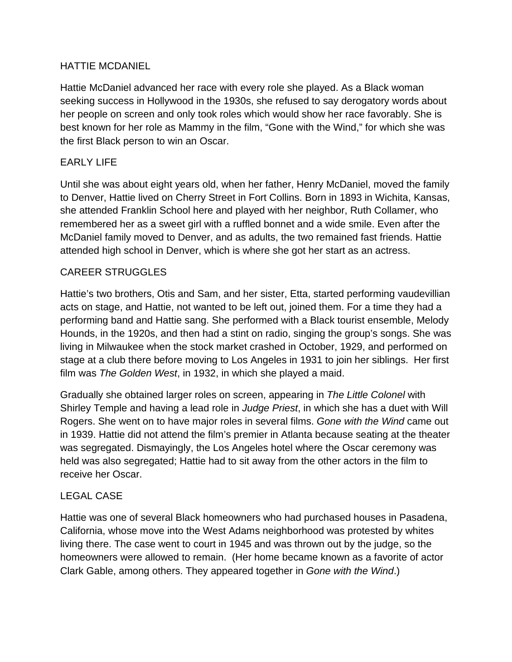### HATTIE MCDANIEL

Hattie McDaniel advanced her race with every role she played. As a Black woman seeking success in Hollywood in the 1930s, she refused to say derogatory words about her people on screen and only took roles which would show her race favorably. She is best known for her role as Mammy in the film, "Gone with the Wind," for which she was the first Black person to win an Oscar.

## EARLY LIFE

Until she was about eight years old, when her father, Henry McDaniel, moved the family to Denver, Hattie lived on Cherry Street in Fort Collins. Born in 1893 in Wichita, Kansas, she attended Franklin School here and played with her neighbor, Ruth Collamer, who remembered her as a sweet girl with a ruffled bonnet and a wide smile. Even after the McDaniel family moved to Denver, and as adults, the two remained fast friends. Hattie attended high school in Denver, which is where she got her start as an actress.

# CAREER STRUGGLES

Hattie's two brothers, Otis and Sam, and her sister, Etta, started performing vaudevillian acts on stage, and Hattie, not wanted to be left out, joined them. For a time they had a performing band and Hattie sang. She performed with a Black tourist ensemble, Melody Hounds, in the 1920s, and then had a stint on radio, singing the group's songs. She was living in Milwaukee when the stock market crashed in October, 1929, and performed on stage at a club there before moving to Los Angeles in 1931 to join her siblings. Her first film was *The Golden West*, in 1932, in which she played a maid.

Gradually she obtained larger roles on screen, appearing in *The Little Colonel* with Shirley Temple and having a lead role in *Judge Priest*, in which she has a duet with Will Rogers. She went on to have major roles in several films. *Gone with the Wind* came out in 1939. Hattie did not attend the film's premier in Atlanta because seating at the theater was segregated. Dismayingly, the Los Angeles hotel where the Oscar ceremony was held was also segregated; Hattie had to sit away from the other actors in the film to receive her Oscar.

### LEGAL CASE

Hattie was one of several Black homeowners who had purchased houses in Pasadena, California, whose move into the West Adams neighborhood was protested by whites living there. The case went to court in 1945 and was thrown out by the judge, so the homeowners were allowed to remain. (Her home became known as a favorite of actor Clark Gable, among others. They appeared together in *Gone with the Wind*.)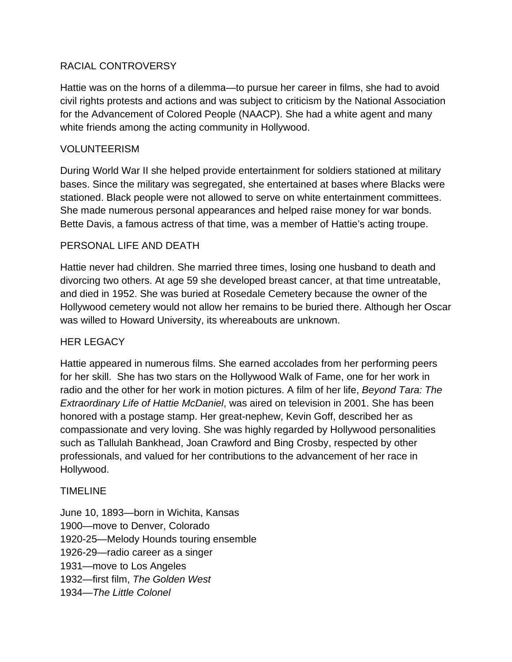### RACIAL CONTROVERSY

Hattie was on the horns of a dilemma—to pursue her career in films, she had to avoid civil rights protests and actions and was subject to criticism by the National Association for the Advancement of Colored People (NAACP). She had a white agent and many white friends among the acting community in Hollywood.

#### VOLUNTEERISM

During World War II she helped provide entertainment for soldiers stationed at military bases. Since the military was segregated, she entertained at bases where Blacks were stationed. Black people were not allowed to serve on white entertainment committees. She made numerous personal appearances and helped raise money for war bonds. Bette Davis, a famous actress of that time, was a member of Hattie's acting troupe.

### PERSONAL LIFE AND DEATH

Hattie never had children. She married three times, losing one husband to death and divorcing two others. At age 59 she developed breast cancer, at that time untreatable, and died in 1952. She was buried at Rosedale Cemetery because the owner of the Hollywood cemetery would not allow her remains to be buried there. Although her Oscar was willed to Howard University, its whereabouts are unknown.

#### HER LEGACY

Hattie appeared in numerous films. She earned accolades from her performing peers for her skill. She has two stars on the Hollywood Walk of Fame, one for her work in radio and the other for her work in motion pictures. A film of her life, *Beyond Tara: The Extraordinary Life of Hattie McDaniel*, was aired on television in 2001. She has been honored with a postage stamp. Her great-nephew, Kevin Goff, described her as compassionate and very loving. She was highly regarded by Hollywood personalities such as Tallulah Bankhead, Joan Crawford and Bing Crosby, respected by other professionals, and valued for her contributions to the advancement of her race in Hollywood.

#### TIMELINE

June 10, 1893—born in Wichita, Kansas 1900—move to Denver, Colorado 1920-25—Melody Hounds touring ensemble 1926-29—radio career as a singer 1931—move to Los Angeles 1932—first film, *The Golden West* 1934—*The Little Colonel*